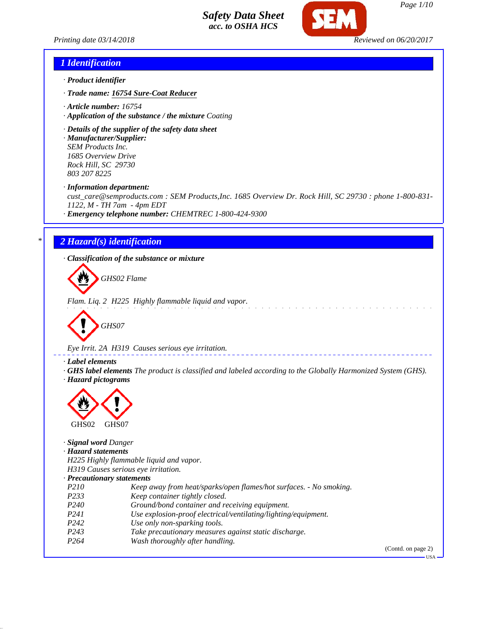



*Page 1/10*

### *1 Identification*

- *· Product identifier*
- *· Trade name: 16754 Sure-Coat Reducer*
- *· Article number: 16754*
- *· Application of the substance / the mixture Coating*
- *· Details of the supplier of the safety data sheet*
- *· Manufacturer/Supplier: SEM Products Inc. 1685 Overview Drive Rock Hill, SC 29730 803 207 8225*

*· Information department:*

*cust\_care@semproducts.com : SEM Products,Inc. 1685 Overview Dr. Rock Hill, SC 29730 : phone 1-800-831- 1122, M - TH 7am - 4pm EDT*

*· Emergency telephone number: CHEMTREC 1-800-424-9300*

# *\* 2 Hazard(s) identification*

*· Classification of the substance or mixture*

*GHS02 Flame*

*Flam. Liq. 2 H225 Highly flammable liquid and vapor.*

$$
\bigotimes \text{GHSO7}
$$

*Eye Irrit. 2A H319 Causes serious eye irritation.*

### *· Label elements*

*· GHS label elements The product is classified and labeled according to the Globally Harmonized System (GHS). · Hazard pictograms*



*· Signal word Danger*

*· Hazard statements*

*H225 Highly flammable liquid and vapor.*

*H319 Causes serious eye irritation.*

### *· Precautionary statements*

- *P210 Keep away from heat/sparks/open flames/hot surfaces. No smoking.*
- *P233 Keep container tightly closed.*
- *P240 Ground/bond container and receiving equipment.*
- *P241 Use explosion-proof electrical/ventilating/lighting/equipment.*
- *P242 Use only non-sparking tools.*
- *P243 Take precautionary measures against static discharge.*
- *P264 Wash thoroughly after handling.*

(Contd. on page 2)

 $-<sub>11</sub><sub>S</sub>$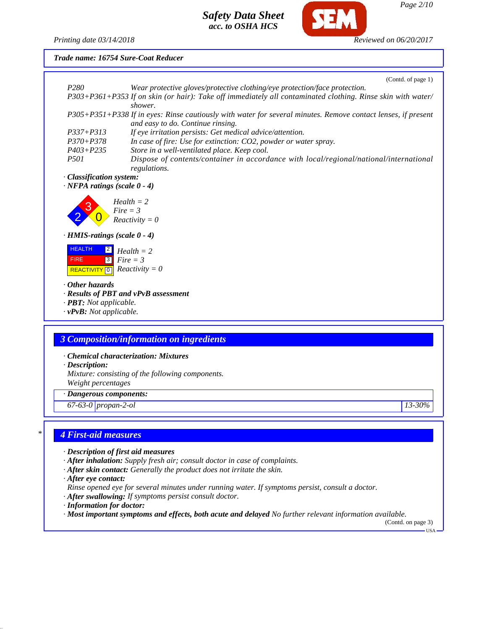

### *Trade name: 16754 Sure-Coat Reducer*



- *· After skin contact: Generally the product does not irritate the skin.*
- *· After eye contact:*

*Rinse opened eye for several minutes under running water. If symptoms persist, consult a doctor.*

- *· After swallowing: If symptoms persist consult doctor.*
- *· Information for doctor:*

*· Most important symptoms and effects, both acute and delayed No further relevant information available.*

(Contd. on page 3) USA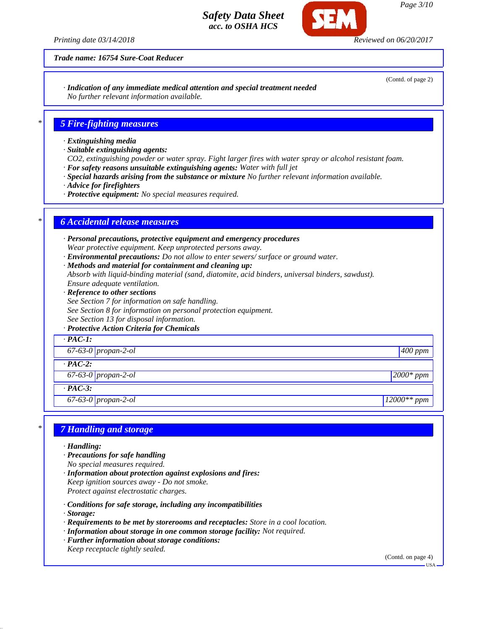*Printing date 03/14/2018 Reviewed on 06/20/2017*

(Contd. of page 2)

*Trade name: 16754 Sure-Coat Reducer*

*· Indication of any immediate medical attention and special treatment needed No further relevant information available.*

*\* 5 Fire-fighting measures*

- *· Extinguishing media*
- *· Suitable extinguishing agents:*
- *CO2, extinguishing powder or water spray. Fight larger fires with water spray or alcohol resistant foam.*
- *· For safety reasons unsuitable extinguishing agents: Water with full jet*
- *· Special hazards arising from the substance or mixture No further relevant information available.*
- *· Advice for firefighters*
- *· Protective equipment: No special measures required.*

### *\* 6 Accidental release measures*

- *· Personal precautions, protective equipment and emergency procedures Wear protective equipment. Keep unprotected persons away.*
- *· Environmental precautions: Do not allow to enter sewers/ surface or ground water.*
- *· Methods and material for containment and cleaning up: Absorb with liquid-binding material (sand, diatomite, acid binders, universal binders, sawdust). Ensure adequate ventilation.*
- *· Reference to other sections See Section 7 for information on safe handling. See Section 8 for information on personal protection equipment. See Section 13 for disposal information.*

### *· Protective Action Criteria for Chemicals*

| $\cdot$ PAC-1:        |             |
|-----------------------|-------------|
| $67-63-0$ propan-2-ol | $400$ ppm   |
| $\cdot$ PAC-2:        |             |
| $67-63-0$ propan-2-ol | $2000*$ ppm |
| $\cdot$ PAC-3:        |             |

*67-63-0 propan-2-ol 12000\*\* ppm*

# *\* 7 Handling and storage*

- *· Handling:*
- *· Precautions for safe handling No special measures required.*
- *· Information about protection against explosions and fires: Keep ignition sources away - Do not smoke. Protect against electrostatic charges.*
- *· Conditions for safe storage, including any incompatibilities*
- *· Storage:*
- *· Requirements to be met by storerooms and receptacles: Store in a cool location.*
- *· Information about storage in one common storage facility: Not required.*
- *· Further information about storage conditions:*
- *Keep receptacle tightly sealed.*

(Contd. on page 4)

USA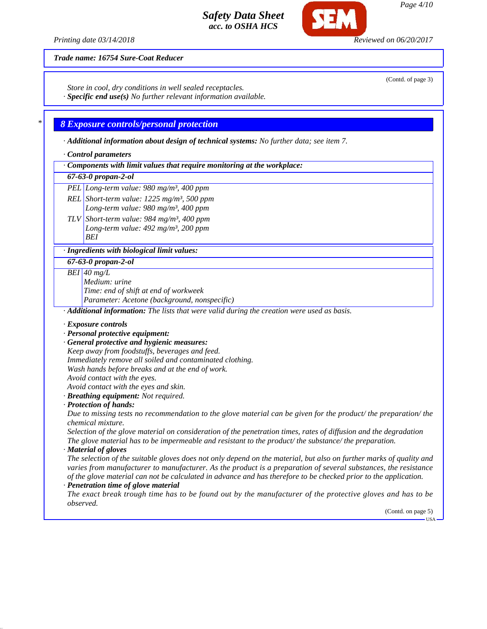*Printing date 03/14/2018 Reviewed on 06/20/2017*

(Contd. of page 3)

### *Trade name: 16754 Sure-Coat Reducer*

*Store in cool, dry conditions in well sealed receptacles.*

*· Specific end use(s) No further relevant information available.*

# *\* 8 Exposure controls/personal protection*

*· Additional information about design of technical systems: No further data; see item 7.*

*· Control parameters*

*· Components with limit values that require monitoring at the workplace:*

# *67-63-0 propan-2-ol*

*PEL Long-term value: 980 mg/m³, 400 ppm*

*REL Short-term value: 1225 mg/m³, 500 ppm*

*Long-term value: 980 mg/m³, 400 ppm TLV Short-term value: 984 mg/m³, 400 ppm Long-term value: 492 mg/m³, 200 ppm*

*BEI*

### *· Ingredients with biological limit values:*

*67-63-0 propan-2-ol*

*BEI 40 mg/L*

*Medium: urine Time: end of shift at end of workweek Parameter: Acetone (background, nonspecific)*

*· Additional information: The lists that were valid during the creation were used as basis.*

- *· Exposure controls*
- *· Personal protective equipment:*
- *· General protective and hygienic measures:*
- *Keep away from foodstuffs, beverages and feed.*
- *Immediately remove all soiled and contaminated clothing.*
- *Wash hands before breaks and at the end of work.*
- *Avoid contact with the eyes.*
- *Avoid contact with the eyes and skin.*
- *· Breathing equipment: Not required.*
- *· Protection of hands:*

*Due to missing tests no recommendation to the glove material can be given for the product/ the preparation/ the chemical mixture.*

*Selection of the glove material on consideration of the penetration times, rates of diffusion and the degradation The glove material has to be impermeable and resistant to the product/ the substance/ the preparation.*

*· Material of gloves*

*The selection of the suitable gloves does not only depend on the material, but also on further marks of quality and varies from manufacturer to manufacturer. As the product is a preparation of several substances, the resistance of the glove material can not be calculated in advance and has therefore to be checked prior to the application. · Penetration time of glove material*

*The exact break trough time has to be found out by the manufacturer of the protective gloves and has to be observed.*

 $-IISA$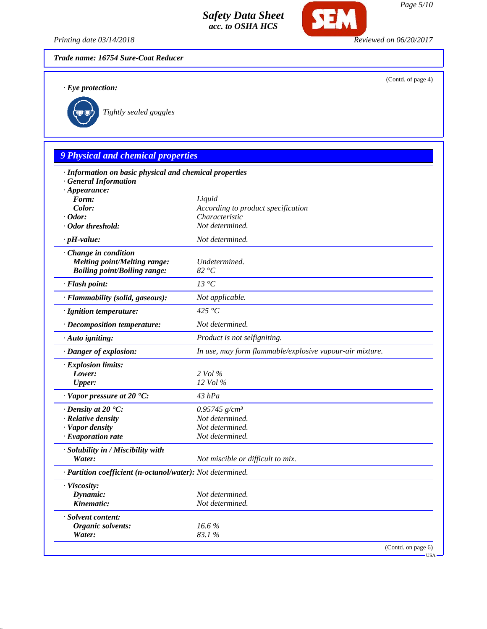*Printing date 03/14/2018 Reviewed on 06/20/2017*

**SEM** 

*Trade name: 16754 Sure-Coat Reducer*

*· Eye protection:*

(Contd. of page 4)



*Tightly sealed goggles*

# *9 Physical and chemical properties*

| · Information on basic physical and chemical properties    |                                                          |
|------------------------------------------------------------|----------------------------------------------------------|
| · General Information<br>$\cdot$ Appearance:               |                                                          |
| Form:                                                      | Liquid                                                   |
| Color:                                                     | According to product specification                       |
| $\cdot$ Odor:                                              | Characteristic                                           |
| · Odor threshold:                                          | Not determined.                                          |
| $\cdot$ pH-value:                                          | Not determined.                                          |
| · Change in condition                                      |                                                          |
| <b>Melting point/Melting range:</b>                        | Undetermined.                                            |
| <b>Boiling point/Boiling range:</b>                        | 82 °C                                                    |
| · Flash point:                                             | 13 °C                                                    |
| · Flammability (solid, gaseous):                           | Not applicable.                                          |
| · Ignition temperature:                                    | 425 $\degree$ C                                          |
| · Decomposition temperature:                               | Not determined.                                          |
| · Auto igniting:                                           | Product is not selfigniting.                             |
| · Danger of explosion:                                     | In use, may form flammable/explosive vapour-air mixture. |
| · Explosion limits:                                        |                                                          |
| Lower:                                                     | 2 Vol %                                                  |
| Upper:                                                     | 12 Vol %                                                 |
| $\cdot$ Vapor pressure at 20 $\textdegree$ C:              | $43$ $hPa$                                               |
| $\cdot$ Density at 20 $\textdegree$ C:                     | $0.95745$ g/cm <sup>3</sup>                              |
| · Relative density                                         | Not determined.                                          |
| · Vapor density                                            | Not determined.                                          |
| $\cdot$ Evaporation rate                                   | Not determined.                                          |
| · Solubility in / Miscibility with                         |                                                          |
| Water:                                                     | Not miscible or difficult to mix.                        |
| · Partition coefficient (n-octanol/water): Not determined. |                                                          |
| · Viscosity:                                               |                                                          |
| Dynamic:                                                   | Not determined.                                          |
| Kinematic:                                                 | Not determined.                                          |
| · Solvent content:                                         |                                                          |
| <b>Organic solvents:</b>                                   | 16.6%                                                    |
| Water:                                                     | 83.1%                                                    |
|                                                            | (Contd. on page 6)                                       |
|                                                            |                                                          |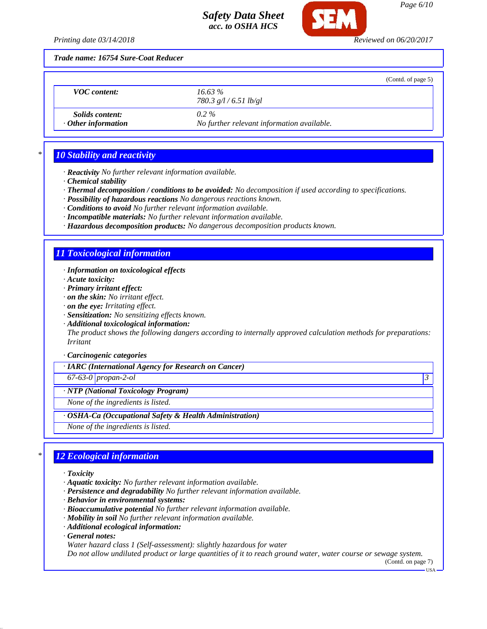

*Printing date 03/14/2018 Reviewed on 06/20/2017*

*Trade name: 16754 Sure-Coat Reducer*

|                                                     | (Contd. of page 5)                                    |
|-----------------------------------------------------|-------------------------------------------------------|
| <b>VOC</b> content:                                 | $16.63\%$<br>780.3 $g/l / 6.51$ lb/gl                 |
| <i>Solids content:</i><br>$\cdot$ Other information | $0.2\%$<br>No further relevant information available. |

# *\* 10 Stability and reactivity*

*· Reactivity No further relevant information available.*

- *· Chemical stability*
- *· Thermal decomposition / conditions to be avoided: No decomposition if used according to specifications.*
- *· Possibility of hazardous reactions No dangerous reactions known.*
- *· Conditions to avoid No further relevant information available.*
- *· Incompatible materials: No further relevant information available.*
- *· Hazardous decomposition products: No dangerous decomposition products known.*

# *11 Toxicological information*

- *· Information on toxicological effects*
- *· Acute toxicity:*
- *· Primary irritant effect:*
- *· on the skin: No irritant effect.*
- *· on the eye: Irritating effect.*
- *· Sensitization: No sensitizing effects known.*
- *· Additional toxicological information:*

*The product shows the following dangers according to internally approved calculation methods for preparations: Irritant*

### *· Carcinogenic categories*

*· IARC (International Agency for Research on Cancer)*

*67-63-0 propan-2-ol 3* 

*· NTP (National Toxicology Program)*

*None of the ingredients is listed.*

### *· OSHA-Ca (Occupational Safety & Health Administration)*

*None of the ingredients is listed.*

# *\* 12 Ecological information*

- *· Toxicity*
- *· Aquatic toxicity: No further relevant information available.*
- *· Persistence and degradability No further relevant information available.*
- *· Behavior in environmental systems:*
- *· Bioaccumulative potential No further relevant information available.*
- *· Mobility in soil No further relevant information available.*
- *· Additional ecological information:*
- *· General notes:*
- *Water hazard class 1 (Self-assessment): slightly hazardous for water*

*Do not allow undiluted product or large quantities of it to reach ground water, water course or sewage system.*

(Contd. on page 7) USA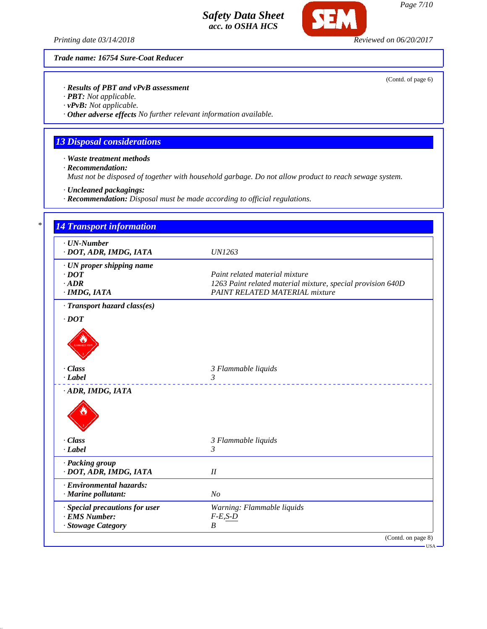*Printing date 03/14/2018 Reviewed on 06/20/2017*

Œ

*Trade name: 16754 Sure-Coat Reducer*

(Contd. of page 6)

# *· Results of PBT and vPvB assessment*

*· PBT: Not applicable.*

*· vPvB: Not applicable.*

*· Other adverse effects No further relevant information available.*

# *13 Disposal considerations*

*· Waste treatment methods*

*· Recommendation:*

*Must not be disposed of together with household garbage. Do not allow product to reach sewage system.*

*· Uncleaned packagings:*

*· Recommendation: Disposal must be made according to official regulations.*

| $\cdot$ UN-Number<br>· DOT, ADR, IMDG, IATA | <b>UN1263</b>                                               |
|---------------------------------------------|-------------------------------------------------------------|
| · UN proper shipping name                   |                                                             |
| $\cdot$ <i>DOT</i>                          | Paint related material mixture                              |
| $\cdot$ ADR                                 | 1263 Paint related material mixture, special provision 640D |
| · IMDG, IATA                                | <b>PAINT RELATED MATERIAL mixture</b>                       |
| · Transport hazard class(es)                |                                                             |
| $\cdot$ DOT                                 |                                                             |
|                                             |                                                             |
|                                             |                                                             |
|                                             |                                                             |
| · Class                                     | 3 Flammable liquids                                         |
| · Label                                     | 3                                                           |
| ADR, IMDG, IATA                             |                                                             |
|                                             |                                                             |
|                                             |                                                             |
|                                             |                                                             |
|                                             |                                                             |
| · Class                                     | 3 Flammable liquids                                         |
| · Label                                     | 3                                                           |
| · Packing group                             |                                                             |
| · DOT, ADR, IMDG, IATA                      | $I\!I$                                                      |
| · Environmental hazards:                    |                                                             |
| · Marine pollutant:                         | N <sub>o</sub>                                              |
| · Special precautions for user              | Warning: Flammable liquids                                  |
| · EMS Number:                               | $F-E$ , $S-D$                                               |
|                                             | B                                                           |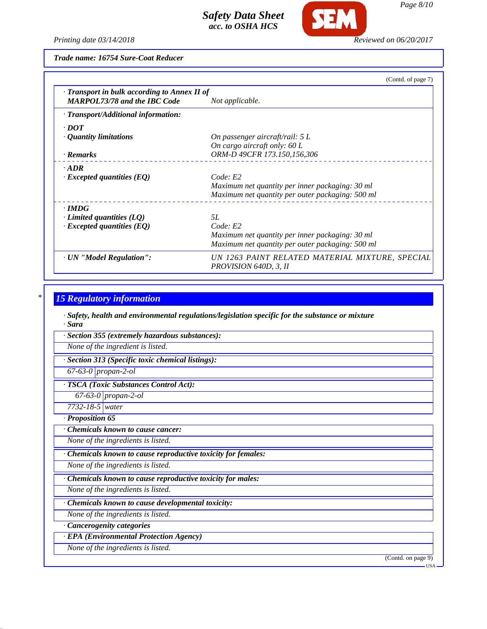

**SFM** 

*Trade name: 16754 Sure-Coat Reducer*

|                                                                                     | (Contd. of page 7)                                                       |
|-------------------------------------------------------------------------------------|--------------------------------------------------------------------------|
| · Transport in bulk according to Annex II of<br><b>MARPOL73/78 and the IBC Code</b> | Not applicable.                                                          |
| · Transport/Additional information:                                                 |                                                                          |
| $\cdot$ DOT                                                                         |                                                                          |
| • Quantity limitations                                                              | On passenger aircraft/rail: 5 L                                          |
|                                                                                     | On cargo aircraft only: $60 L$                                           |
| · Remarks                                                                           | ORM-D 49CFR 173.150,156,306                                              |
| $-ADR$                                                                              |                                                                          |
| $\cdot$ Excepted quantities (EQ)                                                    | Code: E2                                                                 |
|                                                                                     | Maximum net quantity per inner packaging: 30 ml                          |
|                                                                                     | Maximum net quantity per outer packaging: 500 ml                         |
| $\cdot$ IMDG                                                                        |                                                                          |
| $\cdot$ Limited quantities (LQ)                                                     | 5L                                                                       |
| $\cdot$ Excepted quantities (EQ)                                                    | Code: E2                                                                 |
|                                                                                     | Maximum net quantity per inner packaging: 30 ml                          |
|                                                                                     | Maximum net quantity per outer packaging: 500 ml                         |
| · UN "Model Regulation":                                                            | UN 1263 PAINT RELATED MATERIAL MIXTURE, SPECIAL<br>PROVISION 640D, 3, II |

# *\* 15 Regulatory information*

*· Safety, health and environmental regulations/legislation specific for the substance or mixture · Sara*

*· Section 355 (extremely hazardous substances):*

*None of the ingredient is listed.*

*· Section 313 (Specific toxic chemical listings):*

*67-63-0 propan-2-ol*

*· TSCA (Toxic Substances Control Act):*

*67-63-0 propan-2-ol*

*7732-18-5 water*

*· Proposition 65*

*· Chemicals known to cause cancer:*

*None of the ingredients is listed.*

*· Chemicals known to cause reproductive toxicity for females:*

*None of the ingredients is listed.*

*· Chemicals known to cause reproductive toxicity for males:*

*None of the ingredients is listed.*

*· Chemicals known to cause developmental toxicity:*

*None of the ingredients is listed.*

*· Cancerogenity categories*

*· EPA (Environmental Protection Agency)*

*None of the ingredients is listed.*

(Contd. on page 9)

USA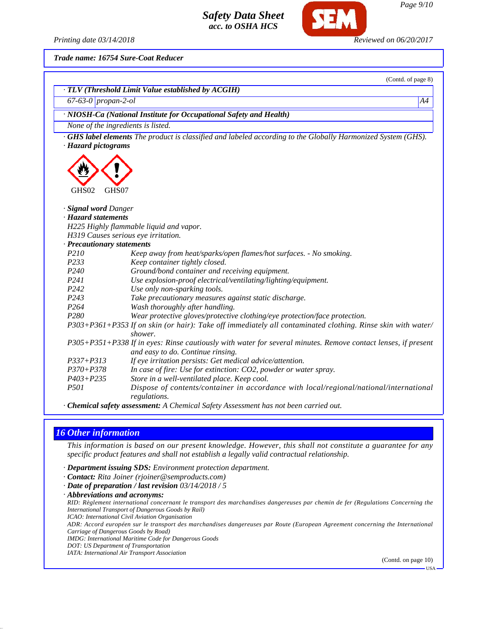$\vdash$ 

*Printing date 03/14/2018 Reviewed on 06/20/2017*

*Trade name: 16754 Sure-Coat Reducer*

|                             | (Contd. of page 8)                                                                                                                                 |
|-----------------------------|----------------------------------------------------------------------------------------------------------------------------------------------------|
|                             | · TLV (Threshold Limit Value established by ACGIH)                                                                                                 |
| 67-63-0 propan-2-ol         | A4                                                                                                                                                 |
|                             | · NIOSH-Ca (National Institute for Occupational Safety and Health)                                                                                 |
|                             | None of the ingredients is listed.                                                                                                                 |
|                             | GHS label elements The product is classified and labeled according to the Globally Harmonized System (GHS).                                        |
| · Hazard pictograms         |                                                                                                                                                    |
| GHS02<br>GHS07              |                                                                                                                                                    |
| · <b>Signal word</b> Danger |                                                                                                                                                    |
| · Hazard statements         |                                                                                                                                                    |
|                             | H225 Highly flammable liquid and vapor.                                                                                                            |
|                             | H319 Causes serious eye irritation.                                                                                                                |
| · Precautionary statements  |                                                                                                                                                    |
| P210                        | Keep away from heat/sparks/open flames/hot surfaces. - No smoking.                                                                                 |
| P233                        | Keep container tightly closed.                                                                                                                     |
| P <sub>240</sub>            | Ground/bond container and receiving equipment.                                                                                                     |
| P241                        | Use explosion-proof electrical/ventilating/lighting/equipment.                                                                                     |
| P242                        | Use only non-sparking tools.                                                                                                                       |
| P243                        | Take precautionary measures against static discharge.                                                                                              |
| P <sub>264</sub>            | Wash thoroughly after handling.                                                                                                                    |
| P <sub>280</sub>            | Wear protective gloves/protective clothing/eye protection/face protection.                                                                         |
|                             | P303+P361+P353 If on skin (or hair): Take off immediately all contaminated clothing. Rinse skin with water/<br>shower.                             |
|                             | P305+P351+P338 If in eyes: Rinse cautiously with water for several minutes. Remove contact lenses, if present<br>and easy to do. Continue rinsing. |
| $P337 + P313$               | If eye irritation persists: Get medical advice/attention.                                                                                          |
| $P370 + P378$               | In case of fire: Use for extinction: CO2, powder or water spray.                                                                                   |
| $P403 + P235$               | Store in a well-ventilated place. Keep cool.                                                                                                       |
| <i>P501</i>                 | Dispose of contents/container in accordance with local/regional/national/international<br>regulations.                                             |

*· Chemical safety assessment: A Chemical Safety Assessment has not been carried out.*

### *16 Other information*

*This information is based on our present knowledge. However, this shall not constitute a guarantee for any specific product features and shall not establish a legally valid contractual relationship.*

- *· Department issuing SDS: Environment protection department.*
- *· Contact: Rita Joiner (rjoiner@semproducts.com)*
- *· Date of preparation / last revision 03/14/2018 / 5*
- *· Abbreviations and acronyms:*

*RID: Règlement international concernant le transport des marchandises dangereuses par chemin de fer (Regulations Concerning the International Transport of Dangerous Goods by Rail)*

*ICAO: International Civil Aviation Organisation*

*ADR: Accord européen sur le transport des marchandises dangereuses par Route (European Agreement concerning the International Carriage of Dangerous Goods by Road)*

*IMDG: International Maritime Code for Dangerous Goods*

*DOT: US Department of Transportation*

*IATA: International Air Transport Association*

(Contd. on page 10)

USA